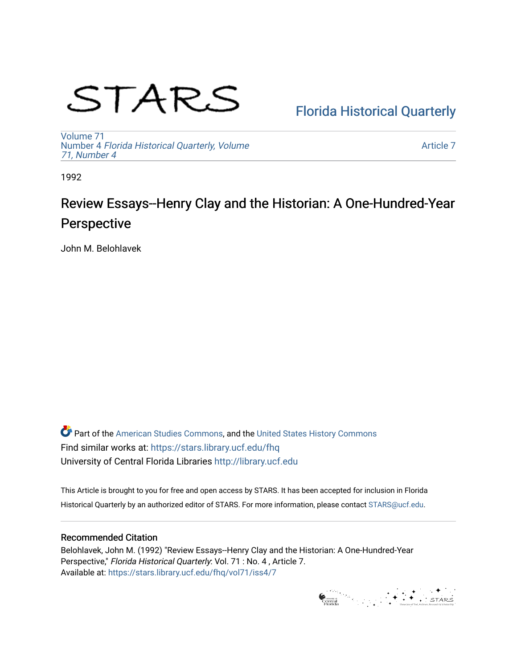# STARS

# [Florida Historical Quarterly](https://stars.library.ucf.edu/fhq)

[Volume 71](https://stars.library.ucf.edu/fhq/vol71) Number 4 [Florida Historical Quarterly, Volume](https://stars.library.ucf.edu/fhq/vol71/iss4)  [71, Number 4](https://stars.library.ucf.edu/fhq/vol71/iss4)

[Article 7](https://stars.library.ucf.edu/fhq/vol71/iss4/7) 

1992

# Review Essays--Henry Clay and the Historian: A One-Hundred-Year Perspective

John M. Belohlavek

**C** Part of the [American Studies Commons](http://network.bepress.com/hgg/discipline/439?utm_source=stars.library.ucf.edu%2Ffhq%2Fvol71%2Fiss4%2F7&utm_medium=PDF&utm_campaign=PDFCoverPages), and the United States History Commons Find similar works at: <https://stars.library.ucf.edu/fhq> University of Central Florida Libraries [http://library.ucf.edu](http://library.ucf.edu/) 

This Article is brought to you for free and open access by STARS. It has been accepted for inclusion in Florida Historical Quarterly by an authorized editor of STARS. For more information, please contact [STARS@ucf.edu.](mailto:STARS@ucf.edu)

## Recommended Citation

Belohlavek, John M. (1992) "Review Essays--Henry Clay and the Historian: A One-Hundred-Year Perspective," Florida Historical Quarterly: Vol. 71 : No. 4 , Article 7. Available at: [https://stars.library.ucf.edu/fhq/vol71/iss4/7](https://stars.library.ucf.edu/fhq/vol71/iss4/7?utm_source=stars.library.ucf.edu%2Ffhq%2Fvol71%2Fiss4%2F7&utm_medium=PDF&utm_campaign=PDFCoverPages) 

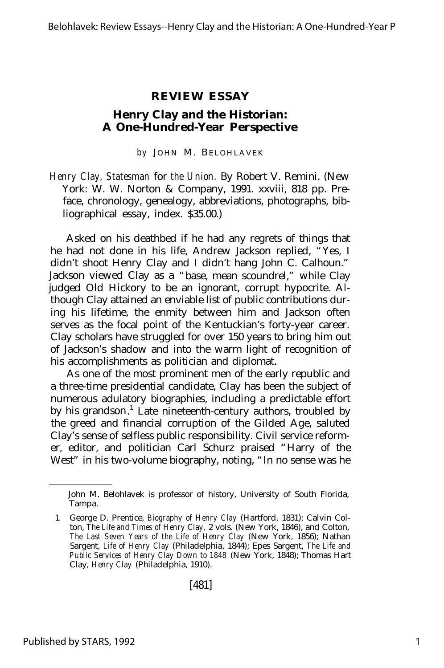## **REVIEW ESSAY**

## **Henry Clay and the Historian: A One-Hundred-Year Perspective**

 $by$  JOHN M. BELOHLAVEK

*Henry Clay, Statesman* for *the Union.* By Robert V. Remini. (New York: W. W. Norton & Company, 1991. xxviii, 818 pp. Preface, chronology, genealogy, abbreviations, photographs, bibliographical essay, index. \$35.00.)

Asked on his deathbed if he had any regrets of things that he had not done in his life, Andrew Jackson replied, "Yes, I didn't shoot Henry Clay and I didn't hang John C. Calhoun." Jackson viewed Clay as a "base, mean scoundrel," while Clay judged Old Hickory to be an ignorant, corrupt hypocrite. Although Clay attained an enviable list of public contributions during his lifetime, the enmity between him and Jackson often serves as the focal point of the Kentuckian's forty-year career. Clay scholars have struggled for over 150 years to bring him out of Jackson's shadow and into the warm light of recognition of his accomplishments as politician and diplomat.

As one of the most prominent men of the early republic and a three-time presidential candidate, Clay has been the subject of numerous adulatory biographies, including a predictable effort by his grandson.<sup>1</sup> Late nineteenth-century authors, troubled by the greed and financial corruption of the Gilded Age, saluted Clay's sense of selfless public responsibility. Civil service reformer, editor, and politician Carl Schurz praised "Harry of the West" in his two-volume biography, noting, "In no sense was he

John M. Belohlavek is professor of history, University of South Florida, Tampa.

<sup>1.</sup> George D. Prentice, *Biography of Henry Clay* (Hartford, 1831); Calvin Colton, *The Life and Times of Henry Clay,* 2 vols. (New York, 1846), and Colton, *The Last Seven Years of the Life of Henry Clay* (New York, 1856); Nathan Sargent, *Life of Henry Clay* (Philadelphia, 1844); Epes Sargent, *The Life and Public Services of Henry Clay Down to 1848* (New York, 1848); Thomas Hart Clay, *Henry Clay* (Philadelphia, 1910).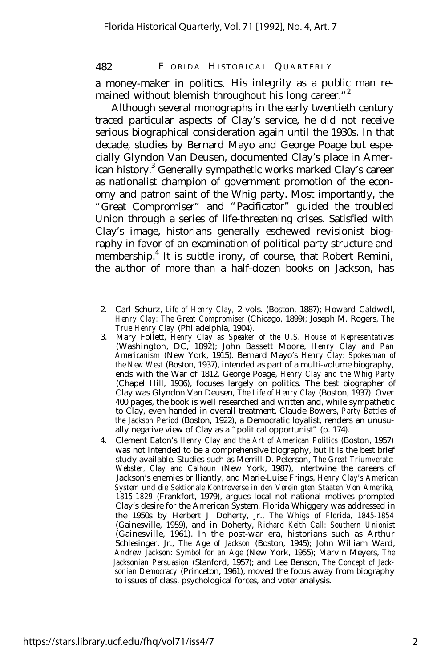a money-maker in politics. His integrity as a public man remained without blemish throughout his long career.<sup>"2</sup>

Although several monographs in the early twentieth century traced particular aspects of Clay's service, he did not receive serious biographical consideration again until the 1930s. In that decade, studies by Bernard Mayo and George Poage but especially Glyndon Van Deusen, documented Clay's place in American history.<sup>3</sup> Generally sympathetic works marked Clay's career as nationalist champion of government promotion of the economy and patron saint of the Whig party. Most importantly, the "Great Compromiser" and "Pacificator" guided the troubled Union through a series of life-threatening crises. Satisfied with Clay's image, historians generally eschewed revisionist biography in favor of an examination of political party structure and membership.<sup>4</sup> It is subtle irony, of course, that Robert Remini, the author of more than a half-dozen books on Jackson, has

<sup>2.</sup> Carl Schurz, *Life of Henry Clay,* 2 vols. (Boston, 1887); Howard Caldwell, *Henry Clay: The Great Compromiser* (Chicago, 1899); Joseph M. Rogers, *The True Henry Clay* (Philadelphia, 1904).

<sup>3.</sup> Mary Follett, *Henry Clay as Speaker of the U.S. House of Representatives* (Washington, DC, 1892); John Bassett Moore, *Henry Clay and Pan Americanism* (New York, 1915). Bernard Mayo's *Henry Clay: Spokesman of the New West* (Boston, 1937), intended as part of a multi-volume biography, ends with the War of 1812. George Poage, *Henry Clay and the Whig Party* (Chapel Hill, 1936), focuses largely on politics. The best biographer of Clay was Glyndon Van Deusen, *The Life of Henry Clay* (Boston, 1937). Over 400 pages, the book is well researched and written and, while sympathetic to Clay, even handed in overall treatment. Claude Bowers, *Party Battles of the Jackson Period* (Boston, 1922), a Democratic loyalist, renders an unusually negative view of Clay as a "political opportunist" (p. 174).

<sup>4.</sup> Clement Eaton's *Henry Clay and the Art of American Politics* (Boston, 1957) was not intended to be a comprehensive biography, but it is the best brief study available. Studies such as Merrill D. Peterson, *The Great Triumverate: Webster, Clay and Calhoun* (New York, 1987), intertwine the careers of Jackson's enemies brilliantly, and Marie-Luise Frings, *Henry Clay's American System und die Sektionale Kontroverse in den Vereinigten Staaten Von Amerika, 1815-1829* (Frankfort, 1979), argues local not national motives prompted Clay's desire for the American System. Florida Whiggery was addressed in the 1950s by Herbert J. Doherty, Jr., *The Whigs of Florida, 1845-1854* (Gainesville, 1959), and in Doherty, *Richard Keith Call: Southern Unionist* (Gainesville, 1961). In the post-war era, historians such as Arthur Schlesinger, Jr., *The Age of Jackson* (Boston, 1945); John William Ward, *Andrew Jackson: Symbol for an Age* (New York, 1955); Marvin Meyers, *The Jacksonian Persuasion* (Stanford, 1957); and Lee Benson, *The Concept of Jacksonian Democracy* (Princeton, 1961), moved the focus away from biography to issues of class, psychological forces, and voter analysis.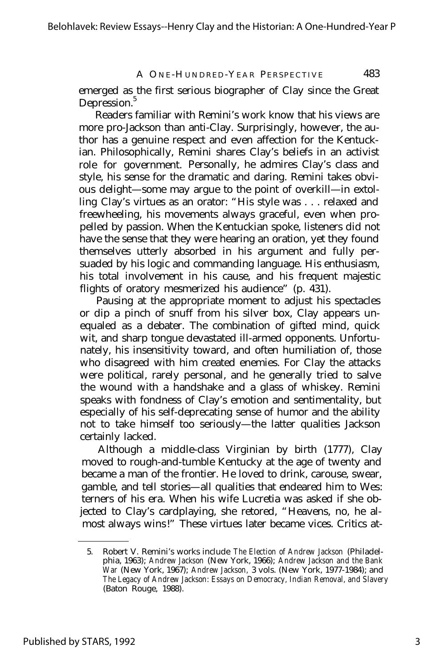emerged as the first serious biographer of Clay since the Great Depression.<sup>5</sup>

Readers familiar with Remini's work know that his views are more pro-Jackson than anti-Clay. Surprisingly, however, the author has a genuine respect and even affection for the Kentuckian. Philosophically, Remini shares Clay's beliefs in an activist role for government. Personally, he admires Clay's class and style, his sense for the dramatic and daring. Remini takes obvious delight— some may argue to the point of overkill— in extolling Clay's virtues as an orator: "His style was . . . relaxed and freewheeling, his movements always graceful, even when propelled by passion. When the Kentuckian spoke, listeners did not have the sense that they were hearing an oration, yet they found themselves utterly absorbed in his argument and fully persuaded by his logic and commanding language. His enthusiasm, his total involvement in his cause, and his frequent majestic flights of oratory mesmerized his audience" (p. 431).

Pausing at the appropriate moment to adjust his spectacles or dip a pinch of snuff from his silver box, Clay appears unequaled as a debater. The combination of gifted mind, quick wit, and sharp tongue devastated ill-armed opponents. Unfortunately, his insensitivity toward, and often humiliation of, those who disagreed with him created enemies. For Clay the attacks were political, rarely personal, and he generally tried to salve the wound with a handshake and a glass of whiskey. Remini speaks with fondness of Clay's emotion and sentimentality, but especially of his self-deprecating sense of humor and the ability not to take himself too seriously— the latter qualities Jackson certainly lacked.

Although a middle-class Virginian by birth (1777), Clay moved to rough-and-tumble Kentucky at the age of twenty and became a man of the frontier. He loved to drink, carouse, swear, gamble, and tell stories— all qualities that endeared him to Wes: terners of his era. When his wife Lucretia was asked if she objected to Clay's cardplaying, she retored, "Heavens, no, he almost always wins!" These virtues later became vices. Critics at-

<sup>5.</sup> Robert V. Remini's works include *The Election of Andrew Jackson* (Philadelphia, 1963); *Andrew Jackson* (New York, 1966); *Andrew Jackson and the Bank War* (New York, 1967); *Andrew Jackson,* 3 vols. (New York, 1977-1984); and *The Legacy of Andrew Jackson: Essays on Democracy, Indian Removal, and Slavery* (Baton Rouge, 1988).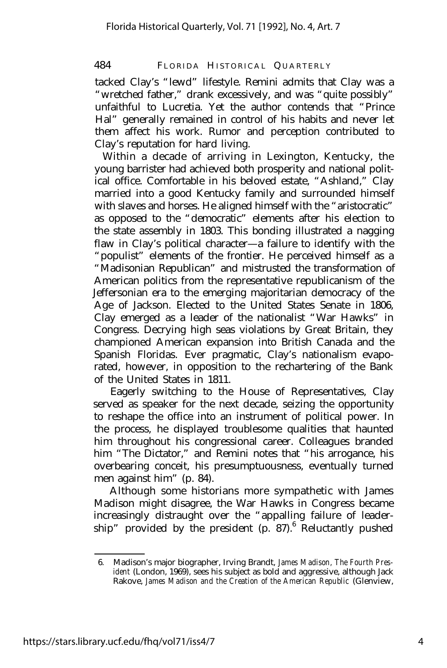tacked Clay's "lewd" lifestyle. Remini admits that Clay was a "wretched father," drank excessively, and was "quite possibly" unfaithful to Lucretia. Yet the author contends that "Prince Hal" generally remained in control of his habits and never let them affect his work. Rumor and perception contributed to Clay's reputation for hard living.

Within a decade of arriving in Lexington, Kentucky, the young barrister had achieved both prosperity and national political office. Comfortable in his beloved estate, "Ashland," Clay married into a good Kentucky family and surrounded himself with slaves and horses. He aligned himself with the "aristocratic" as opposed to the "democratic" elements after his election to the state assembly in 1803. This bonding illustrated a nagging flaw in Clay's political character— a failure to identify with the "populist" elements of the frontier. He perceived himself as a "Madisonian Republican" and mistrusted the transformation of American politics from the representative republicanism of the Jeffersonian era to the emerging majoritarian democracy of the Age of Jackson. Elected to the United States Senate in 1806, Clay emerged as a leader of the nationalist "War Hawks" in Congress. Decrying high seas violations by Great Britain, they championed American expansion into British Canada and the Spanish Floridas. Ever pragmatic, Clay's nationalism evaporated, however, in opposition to the rechartering of the Bank of the United States in 1811.

Eagerly switching to the House of Representatives, Clay served as speaker for the next decade, seizing the opportunity to reshape the office into an instrument of political power. In the process, he displayed troublesome qualities that haunted him throughout his congressional career. Colleagues branded him "The Dictator," and Remini notes that "his arrogance, his overbearing conceit, his presumptuousness, eventually turned men against him" (p. 84).

Although some historians more sympathetic with James Madison might disagree, the War Hawks in Congress became increasingly distraught over the "appalling failure of leadership" provided by the president  $(p. 87)$ .<sup>6</sup> Reluctantly pushed

<sup>6.</sup> Madison's major biographer, Irving Brandt, *James Madison, The Fourth President* (London, 1969), sees his subject as bold and aggressive, although Jack Rakove, *James Madison and the Creation of the American Republic* (Glenview,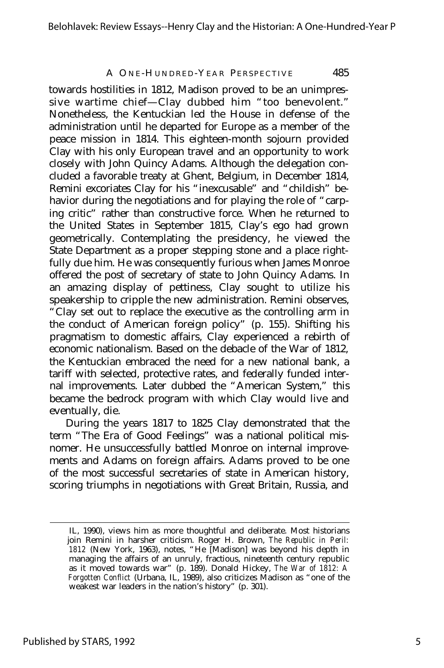towards hostilities in 1812, Madison proved to be an unimpressive wartime chief— Clay dubbed him "too benevolent." Nonetheless, the Kentuckian led the House in defense of the administration until he departed for Europe as a member of the peace mission in 1814. This eighteen-month sojourn provided Clay with his only European travel and an opportunity to work closely with John Quincy Adams. Although the delegation concluded a favorable treaty at Ghent, Belgium, in December 1814, Remini excoriates Clay for his "inexcusable" and "childish" behavior during the negotiations and for playing the role of "carping critic" rather than constructive force. When he returned to the United States in September 1815, Clay's ego had grown geometrically. Contemplating the presidency, he viewed the State Department as a proper stepping stone and a place rightfully due him. He was consequently furious when James Monroe offered the post of secretary of state to John Quincy Adams. In an amazing display of pettiness, Clay sought to utilize his speakership to cripple the new administration. Remini observes, "Clay set out to replace the executive as the controlling arm in the conduct of American foreign policy" (p. 155). Shifting his pragmatism to domestic affairs, Clay experienced a rebirth of economic nationalism. Based on the debacle of the War of 1812, the Kentuckian embraced the need for a new national bank, a tariff with selected, protective rates, and federally funded internal improvements. Later dubbed the "American System," this became the bedrock program with which Clay would live and eventually, die.

During the years 1817 to 1825 Clay demonstrated that the term "The Era of Good Feelings" was a national political misnomer. He unsuccessfully battled Monroe on internal improvements and Adams on foreign affairs. Adams proved to be one of the most successful secretaries of state in American history, scoring triumphs in negotiations with Great Britain, Russia, and

IL, 1990), views him as more thoughtful and deliberate. Most historians join Remini in harsher criticism. Roger H. Brown, *The Republic in Peril: 1812* (New York, 1963), notes, "He [Madison] was beyond his depth in managing the affairs of an unruly, fractious, nineteenth century republic as it moved towards war" (p. 189). Donald Hickey, *The War of 1812: A Forgotten Conflict* (Urbana, IL, 1989), also criticizes Madison as "one of the weakest war leaders in the nation's history" (p. 301).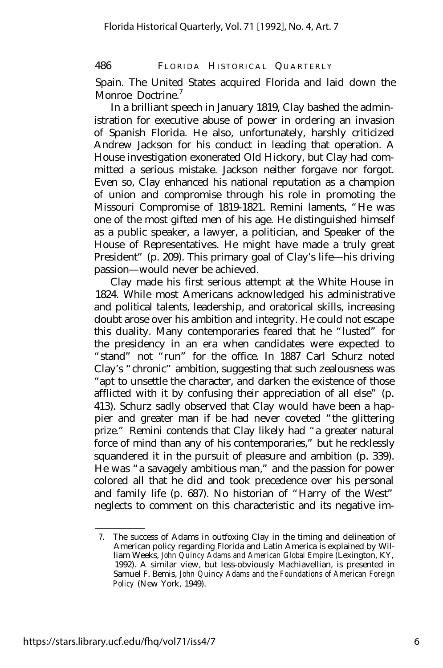Spain. The United States acquired Florida and laid down the Monroe Doctrine.<sup>7</sup>

In a brilliant speech in January 1819, Clay bashed the administration for executive abuse of power in ordering an invasion of Spanish Florida. He also, unfortunately, harshly criticized Andrew Jackson for his conduct in leading that operation. A House investigation exonerated Old Hickory, but Clay had committed a serious mistake. Jackson neither forgave nor forgot. Even so, Clay enhanced his national reputation as a champion of union and compromise through his role in promoting the Missouri Compromise of 1819-1821. Remini laments, "He was one of the most gifted men of his age. He distinguished himself as a public speaker, a lawyer, a politician, and Speaker of the House of Representatives. He might have made a truly great President" (p. 209). This primary goal of Clay's life— his driving passion— would never be achieved.

Clay made his first serious attempt at the White House in 1824. While most Americans acknowledged his administrative and political talents, leadership, and oratorical skills, increasing doubt arose over his ambition and integrity. He could not escape this duality. Many contemporaries feared that he "lusted" for the presidency in an era when candidates were expected to "stand" not "run" for the office. In 1887 Carl Schurz noted Clay's "chronic" ambition, suggesting that such zealousness was "apt to unsettle the character, and darken the existence of those afflicted with it by confusing their appreciation of all else" (p. 413). Schurz sadly observed that Clay would have been a happier and greater man if be had never coveted "the glittering prize." Remini contends that Clay likely had "a greater natural force of mind than any of his contemporaries," but he recklessly squandered it in the pursuit of pleasure and ambition (p. 339). He was "a savagely ambitious man," and the passion for power colored all that he did and took precedence over his personal and family life (p. 687). No historian of "Harry of the West" neglects to comment on this characteristic and its negative im-

<sup>7.</sup> The success of Adams in outfoxing Clay in the timing and delineation of American policy regarding Florida and Latin America is explained by William Weeks, *John Quincy Adams and American Global Empire* (Lexington, KY, 1992). A similar view, but less-obviously Machiavellian, is presented in Samuel F. Bemis, *John Quincy Adams and the Foundations of American Foreign Policy* (New York, 1949).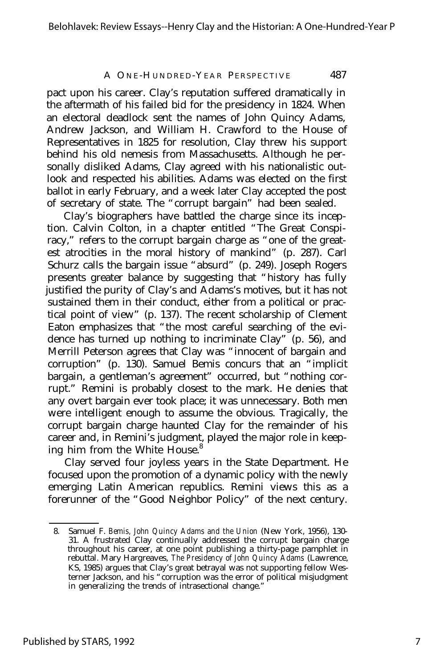pact upon his career. Clay's reputation suffered dramatically in the aftermath of his failed bid for the presidency in 1824. When an electoral deadlock sent the names of John Quincy Adams, Andrew Jackson, and William H. Crawford to the House of Representatives in 1825 for resolution, Clay threw his support behind his old nemesis from Massachusetts. Although he personally disliked Adams, Clay agreed with his nationalistic outlook and respected his abilities. Adams was elected on the first ballot in early February, and a week later Clay accepted the post of secretary of state. The "corrupt bargain" had been sealed.

Clay's biographers have battled the charge since its inception. Calvin Colton, in a chapter entitled "The Great Conspiracy," refers to the corrupt bargain charge as "one of the greatest atrocities in the moral history of mankind" (p. 287). Carl Schurz calls the bargain issue "absurd" (p. 249). Joseph Rogers presents greater balance by suggesting that "history has fully justified the purity of Clay's and Adams's motives, but it has not sustained them in their conduct, either from a political or practical point of view" (p. 137). The recent scholarship of Clement Eaton emphasizes that "the most careful searching of the evidence has turned up nothing to incriminate Clay" (p. 56), and Merrill Peterson agrees that Clay was "innocent of bargain and corruption" (p. 130). Samuel Bemis concurs that an "implicit bargain, a gentleman's agreement" occurred, but "nothing corrupt." Remini is probably closest to the mark. He denies that any overt bargain ever took place; it was unnecessary. Both men were intelligent enough to assume the obvious. Tragically, the corrupt bargain charge haunted Clay for the remainder of his career and, in Remini's judgment, played the major role in keeping him from the White House.<sup>8</sup>

Clay served four joyless years in the State Department. He focused upon the promotion of a dynamic policy with the newly emerging Latin American republics. Remini views this as a forerunner of the "Good Neighbor Policy" of the next century.

<sup>8.</sup> Samuel F. *Bemis, John Quincy Adams and the Union* (New York, 1956), 130- 31. A frustrated Clay continually addressed the corrupt bargain charge throughout his career, at one point publishing a thirty-page pamphlet in rebuttal. Mary Hargreaves, *The Presidency of John Quincy Adams* (Lawrence, KS, 1985) argues that Clay's great betrayal was not supporting fellow Westerner Jackson, and his "corruption was the error of political misjudgment in generalizing the trends of intrasectional change."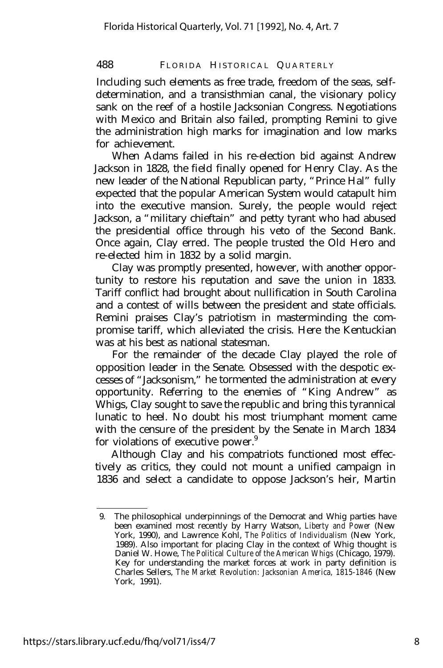Including such elements as free trade, freedom of the seas, selfdetermination, and a transisthmian canal, the visionary policy sank on the reef of a hostile Jacksonian Congress. Negotiations with Mexico and Britain also failed, prompting Remini to give the administration high marks for imagination and low marks for achievement.

When Adams failed in his re-election bid against Andrew Jackson in 1828, the field finally opened for Henry Clay. As the new leader of the National Republican party, "Prince Hal" fully expected that the popular American System would catapult him into the executive mansion. Surely, the people would reject Jackson, a "military chieftain" and petty tyrant who had abused the presidential office through his veto of the Second Bank. Once again, Clay erred. The people trusted the Old Hero and re-elected him in 1832 by a solid margin.

Clay was promptly presented, however, with another opportunity to restore his reputation and save the union in 1833. Tariff conflict had brought about nullification in South Carolina and a contest of wills between the president and state officials. Remini praises Clay's patriotism in masterminding the compromise tariff, which alleviated the crisis. Here the Kentuckian was at his best as national statesman.

For the remainder of the decade Clay played the role of opposition leader in the Senate. Obsessed with the despotic excesses of "Jacksonism," he tormented the administration at every opportunity. Referring to the enemies of "King Andrew" as Whigs, Clay sought to save the republic and bring this tyrannical lunatic to heel. No doubt his most triumphant moment came with the censure of the president by the Senate in March 1834 for violations of executive power.<sup>9</sup>

Although Clay and his compatriots functioned most effectively as critics, they could not mount a unified campaign in 1836 and select a candidate to oppose Jackson's heir, Martin

<sup>9.</sup> The philosophical underpinnings of the Democrat and Whig parties have been examined most recently by Harry Watson, *Liberty and Power* (New York, 1990), and Lawrence Kohl, *The Politics of Individualism* (New York, 1989). Also important for placing Clay in the context of Whig thought is Daniel W. Howe, *The Political Culture of the American Whigs* (Chicago, 1979). Key for understanding the market forces at work in party definition is Charles Sellers, *The Market Revolution: Jacksonian America, 1815-1846* (New York, 1991).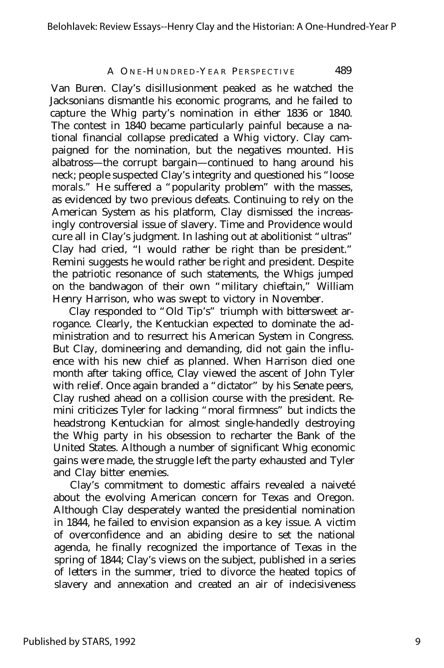Van Buren. Clay's disillusionment peaked as he watched the Jacksonians dismantle his economic programs, and he failed to capture the Whig party's nomination in either 1836 or 1840. The contest in 1840 became particularly painful because a national financial collapse predicated a Whig victory. Clay campaigned for the nomination, but the negatives mounted. His albatross— the corrupt bargain— continued to hang around his neck; people suspected Clay's integrity and questioned his "loose morals." He suffered a "popularity problem" with the masses, as evidenced by two previous defeats. Continuing to rely on the American System as his platform, Clay dismissed the increasingly controversial issue of slavery. Time and Providence would cure all in Clay's judgment. In lashing out at abolitionist "ultras" Clay had cried, "I would rather be right than be president." Remini suggests he would rather be right and president. Despite the patriotic resonance of such statements, the Whigs jumped on the bandwagon of their own "military chieftain," William Henry Harrison, who was swept to victory in November.

Clay responded to "Old Tip's" triumph with bittersweet arrogance. Clearly, the Kentuckian expected to dominate the administration and to resurrect his American System in Congress. But Clay, domineering and demanding, did not gain the influence with his new chief as planned. When Harrison died one month after taking office, Clay viewed the ascent of John Tyler with relief. Once again branded a "dictator" by his Senate peers, Clay rushed ahead on a collision course with the president. Remini criticizes Tyler for lacking "moral firmness" but indicts the headstrong Kentuckian for almost single-handedly destroying the Whig party in his obsession to recharter the Bank of the United States. Although a number of significant Whig economic gains were made, the struggle left the party exhausted and Tyler and Clay bitter enemies.

Clay's commitment to domestic affairs revealed a naiveté about the evolving American concern for Texas and Oregon. Although Clay desperately wanted the presidential nomination in 1844, he failed to envision expansion as a key issue. A victim of overconfidence and an abiding desire to set the national agenda, he finally recognized the importance of Texas in the spring of 1844; Clay's views on the subject, published in a series of letters in the summer, tried to divorce the heated topics of slavery and annexation and created an air of indecisiveness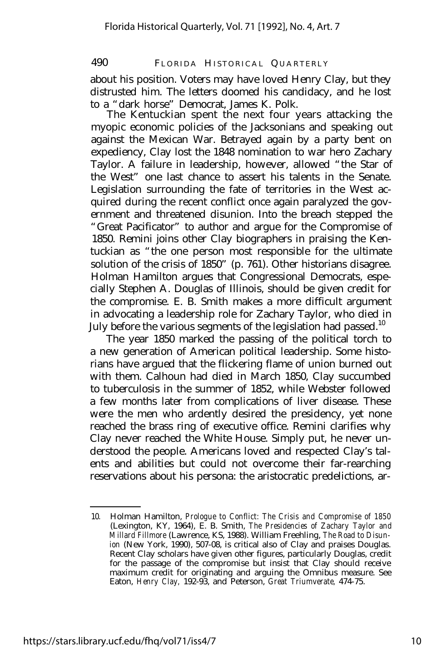about his position. Voters may have loved Henry Clay, but they distrusted him. The letters doomed his candidacy, and he lost to a "dark horse" Democrat, James K. Polk.

The Kentuckian spent the next four years attacking the myopic economic policies of the Jacksonians and speaking out against the Mexican War. Betrayed again by a party bent on expediency, Clay lost the 1848 nomination to war hero Zachary Taylor. A failure in leadership, however, allowed "the Star of the West" one last chance to assert his talents in the Senate. Legislation surrounding the fate of territories in the West acquired during the recent conflict once again paralyzed the government and threatened disunion. Into the breach stepped the "Great Pacificator" to author and argue for the Compromise of 1850. Remini joins other Clay biographers in praising the Kentuckian as "the one person most responsible for the ultimate solution of the crisis of 1850" (p. 761). Other historians disagree. Holman Hamilton argues that Congressional Democrats, especially Stephen A. Douglas of Illinois, should be given credit for the compromise. E. B. Smith makes a more difficult argument in advocating a leadership role for Zachary Taylor, who died in July before the various segments of the legislation had passed.<sup>10</sup>

The year 1850 marked the passing of the political torch to a new generation of American political leadership. Some historians have argued that the flickering flame of union burned out with them. Calhoun had died in March 1850, Clay succumbed to tuberculosis in the summer of 1852, while Webster followed a few months later from complications of liver disease. These were the men who ardently desired the presidency, yet none reached the brass ring of executive office. Remini clarifies why Clay never reached the White House. Simply put, he never understood the people. Americans loved and respected Clay's talents and abilities but could not overcome their far-rearching reservations about his persona: the aristocratic predelictions, ar-

<sup>10.</sup> Holman Hamilton, *Prologue to Conflict: The Crisis and Compromise of 1850* (Lexington, KY, 1964), E. B. Smith, *The Presidencies of Zachary Taylor and Millard Fillmore* (Lawrence, KS, 1988). William Freehling, *The Road to Disunion* (New York, 1990), 507-08, is critical also of Clay and praises Douglas. Recent Clay scholars have given other figures, particularly Douglas, credit for the passage of the compromise but insist that Clay should receive maximum credit for originating and arguing the Omnibus measure. See Eaton, *Henry Clay,* 192-93, and Peterson, *Great Triumverate,* 474-75.